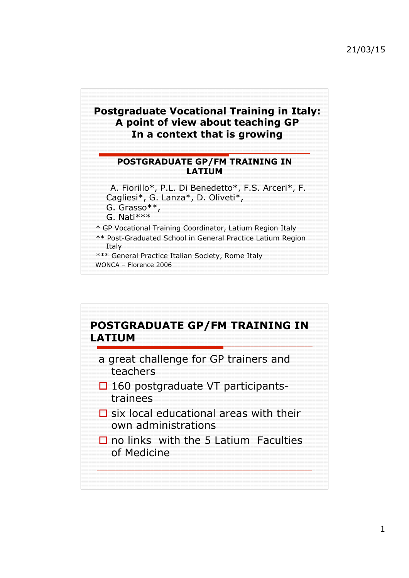### **Postgraduate Vocational Training in Italy: A point of view about teaching GP In a context that is growing**

#### **POSTGRADUATE GP/FM TRAINING IN LATIUM**

 A. Fiorillo\*, P.L. Di Benedetto\*, F.S. Arceri\*, F. Cagliesi\*, G. Lanza\*, D. Oliveti\*,

G. Grasso\*\*,

G. Nati\*\*\*

\* GP Vocational Training Coordinator, Latium Region Italy

\*\* Post-Graduated School in General Practice Latium Region Italy

\*\*\* General Practice Italian Society, Rome Italy

WONCA – Florence 2006

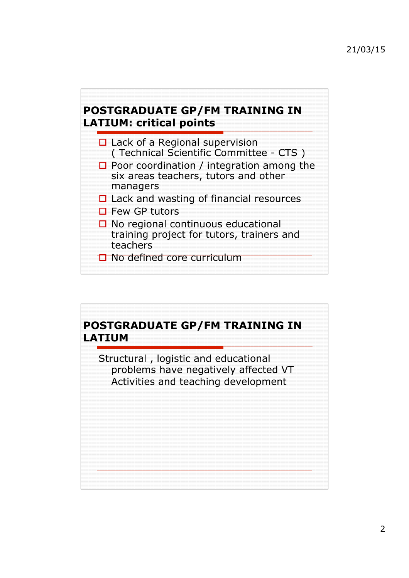## **POSTGRADUATE GP/FM TRAINING IN LATIUM: critical points**



# **POSTGRADUATE GP/FM TRAINING IN LATIUM** Structural , logistic and educational problems have negatively affected VT

Activities and teaching development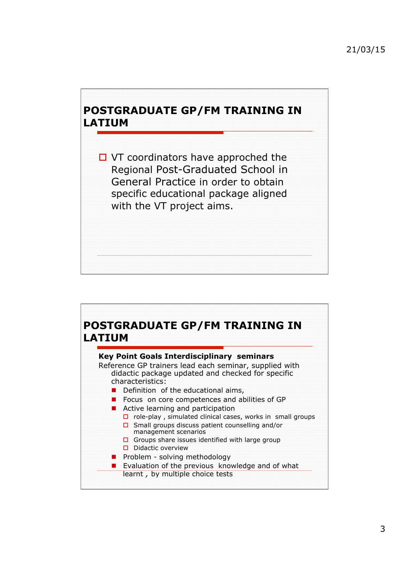### **POSTGRADUATE GP/FM TRAINING IN LATIUM**

 $\Box$  VT coordinators have approched the Regional Post-Graduated School in General Practice in order to obtain specific educational package aligned with the VT project aims.

#### **POSTGRADUATE GP/FM TRAINING IN LATIUM**

| <b>Key Point Goals Interdisciplinary seminars</b><br>Reference GP trainers lead each seminar, supplied with |
|-------------------------------------------------------------------------------------------------------------|
| didactic package updated and checked for specific<br>characteristics:                                       |
| Definition of the educational aims,                                                                         |
| Focus on core competences and abilities of GP                                                               |
| Active learning and participation                                                                           |
| role-play, simulated clinical cases, works in small groups<br>о                                             |
| Small groups discuss patient counselling and/or<br>management scenarios                                     |
| Groups share issues identified with large group<br>п                                                        |
| Didactic overview                                                                                           |
| Problem - solving methodology                                                                               |
| Evaluation of the previous knowledge and of what                                                            |
| learnt, by multiple choice tests                                                                            |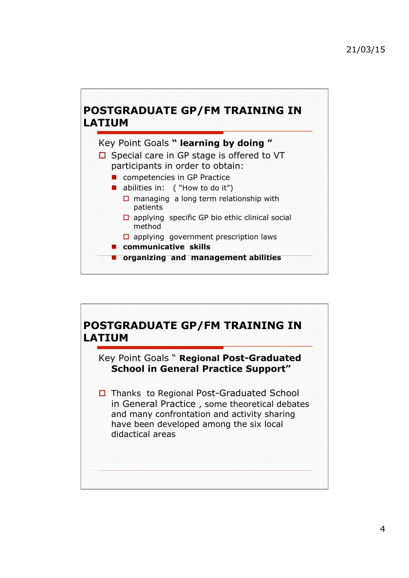